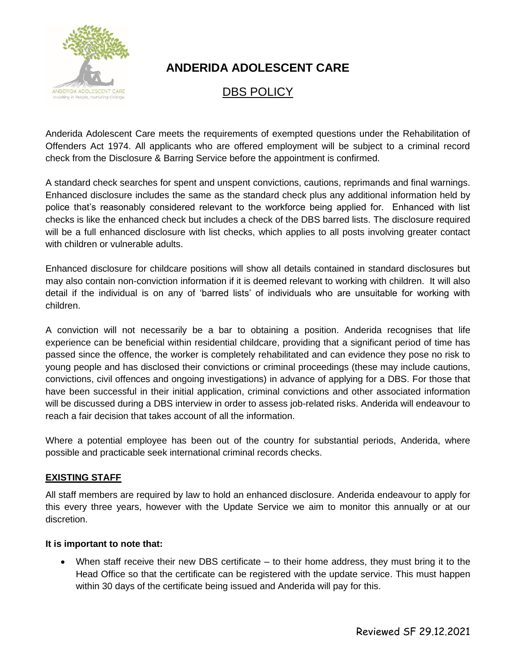

## **ANDERIDA ADOLESCENT CARE**

## DBS POLICY

Anderida Adolescent Care meets the requirements of exempted questions under the Rehabilitation of Offenders Act 1974. All applicants who are offered employment will be subject to a criminal record check from the Disclosure & Barring Service before the appointment is confirmed.

A standard check searches for spent and unspent convictions, cautions, reprimands and final warnings. Enhanced disclosure includes the same as the standard check plus any additional information held by police that's reasonably considered relevant to the workforce being applied for. Enhanced with list checks is like the enhanced check but includes a check of the DBS barred lists. The disclosure required will be a full enhanced disclosure with list checks, which applies to all posts involving greater contact with children or vulnerable adults.

Enhanced disclosure for childcare positions will show all details contained in standard disclosures but may also contain non-conviction information if it is deemed relevant to working with children. It will also detail if the individual is on any of 'barred lists' of individuals who are unsuitable for working with children.

A conviction will not necessarily be a bar to obtaining a position. Anderida recognises that life experience can be beneficial within residential childcare, providing that a significant period of time has passed since the offence, the worker is completely rehabilitated and can evidence they pose no risk to young people and has disclosed their convictions or criminal proceedings (these may include cautions, convictions, civil offences and ongoing investigations) in advance of applying for a DBS. For those that have been successful in their initial application, criminal convictions and other associated information will be discussed during a DBS interview in order to assess job-related risks. Anderida will endeavour to reach a fair decision that takes account of all the information.

Where a potential employee has been out of the country for substantial periods, Anderida, where possible and practicable seek international criminal records checks.

## **EXISTING STAFF**

All staff members are required by law to hold an enhanced disclosure. Anderida endeavour to apply for this every three years, however with the Update Service we aim to monitor this annually or at our discretion.

## **It is important to note that:**

• When staff receive their new DBS certificate – to their home address, they must bring it to the Head Office so that the certificate can be registered with the update service. This must happen within 30 days of the certificate being issued and Anderida will pay for this.